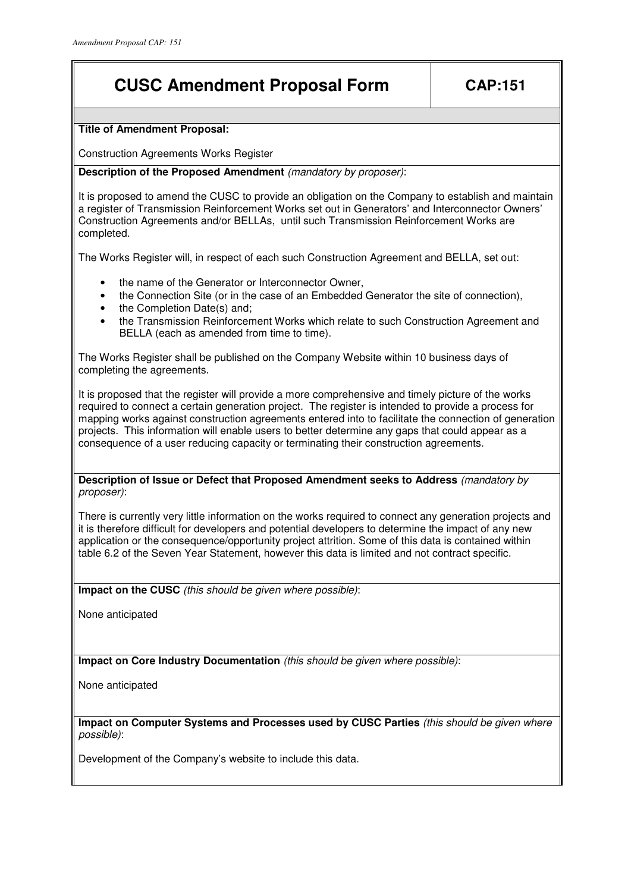## **CUSC Amendment Proposal Form CAP:151**

## **Title of Amendment Proposal:**

Construction Agreements Works Register

**Description of the Proposed Amendment** (mandatory by proposer):

It is proposed to amend the CUSC to provide an obligation on the Company to establish and maintain a register of Transmission Reinforcement Works set out in Generators' and Interconnector Owners' Construction Agreements and/or BELLAs, until such Transmission Reinforcement Works are completed.

The Works Register will, in respect of each such Construction Agreement and BELLA, set out:

- the name of the Generator or Interconnector Owner,
- the Connection Site (or in the case of an Embedded Generator the site of connection),
- the Completion Date(s) and:
- the Transmission Reinforcement Works which relate to such Construction Agreement and BELLA (each as amended from time to time).

The Works Register shall be published on the Company Website within 10 business days of completing the agreements.

It is proposed that the register will provide a more comprehensive and timely picture of the works required to connect a certain generation project. The register is intended to provide a process for mapping works against construction agreements entered into to facilitate the connection of generation projects. This information will enable users to better determine any gaps that could appear as a consequence of a user reducing capacity or terminating their construction agreements.

**Description of Issue or Defect that Proposed Amendment seeks to Address** (mandatory by proposer):

There is currently very little information on the works required to connect any generation projects and it is therefore difficult for developers and potential developers to determine the impact of any new application or the consequence/opportunity project attrition. Some of this data is contained within table 6.2 of the Seven Year Statement, however this data is limited and not contract specific.

**Impact on the CUSC** (this should be given where possible):

None anticipated

**Impact on Core Industry Documentation** (this should be given where possible):

None anticipated

**Impact on Computer Systems and Processes used by CUSC Parties** (this should be given where possible):

Development of the Company's website to include this data.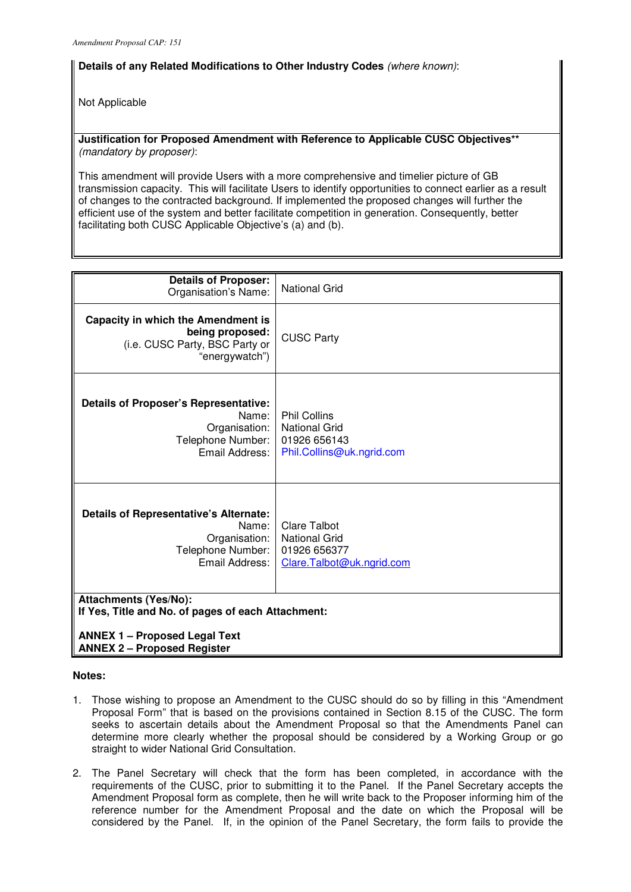## **Details of any Related Modifications to Other Industry Codes** (where known):

Not Applicable

**Justification for Proposed Amendment with Reference to Applicable CUSC Objectives\*\***  (mandatory by proposer):

This amendment will provide Users with a more comprehensive and timelier picture of GB transmission capacity. This will facilitate Users to identify opportunities to connect earlier as a result of changes to the contracted background. If implemented the proposed changes will further the efficient use of the system and better facilitate competition in generation. Consequently, better facilitating both CUSC Applicable Objective's (a) and (b).

| <b>Details of Proposer:</b><br>Organisation's Name:                                                                                                              | <b>National Grid</b>                                                                     |
|------------------------------------------------------------------------------------------------------------------------------------------------------------------|------------------------------------------------------------------------------------------|
| <b>Capacity in which the Amendment is</b><br>being proposed:<br>(i.e. CUSC Party, BSC Party or<br>"energywatch")                                                 | <b>CUSC Party</b>                                                                        |
| <b>Details of Proposer's Representative:</b><br>Name:<br>Organisation:<br>Telephone Number:<br>Email Address:                                                    | <b>Phil Collins</b><br><b>National Grid</b><br>01926 656143<br>Phil.Collins@uk.ngrid.com |
| Details of Representative's Alternate:<br>Name:<br>Organisation:<br>Telephone Number:<br>Email Address:                                                          | <b>Clare Talbot</b><br><b>National Grid</b><br>01926 656377<br>Clare.Talbot@uk.ngrid.com |
| <b>Attachments (Yes/No):</b><br>If Yes, Title and No. of pages of each Attachment:<br><b>ANNEX 1 - Proposed Legal Text</b><br><b>ANNEX 2 - Proposed Register</b> |                                                                                          |

## **Notes:**

- 1. Those wishing to propose an Amendment to the CUSC should do so by filling in this "Amendment Proposal Form" that is based on the provisions contained in Section 8.15 of the CUSC. The form seeks to ascertain details about the Amendment Proposal so that the Amendments Panel can determine more clearly whether the proposal should be considered by a Working Group or go straight to wider National Grid Consultation.
- 2. The Panel Secretary will check that the form has been completed, in accordance with the requirements of the CUSC, prior to submitting it to the Panel. If the Panel Secretary accepts the Amendment Proposal form as complete, then he will write back to the Proposer informing him of the reference number for the Amendment Proposal and the date on which the Proposal will be considered by the Panel. If, in the opinion of the Panel Secretary, the form fails to provide the